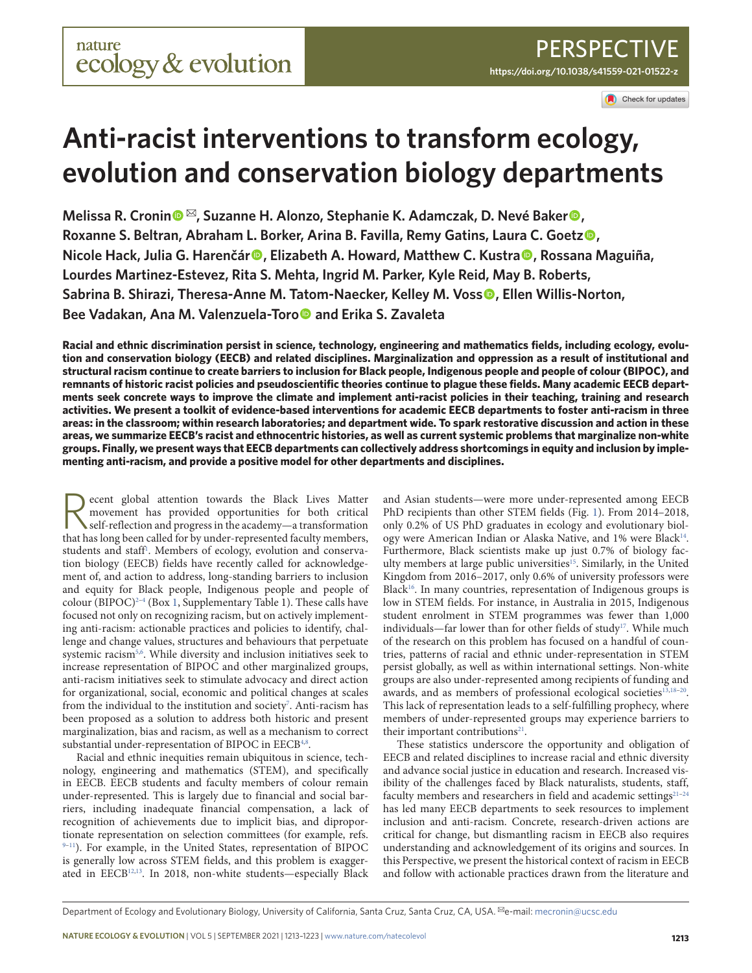# **Anti-racist interventions to transform ecology, evolution and conservation biology departments**

**Melissa R. Cronin <sup>● ⊠</sup>, Suzanne H. Alonzo, Stephanie K. Adamczak, D. Nevé Baker ●, Roxanne S. Beltran, Abraham L. Borker, Arina B. Favilla, Remy Gatins, Laura C. Goetz- -, Nicole Hack, Julia G. Harenčár®, Elizabeth A. Howard, Matthew C. Kustra®, Rossana Maguiña, Lourdes Martinez-Estevez, Rita S. Mehta, Ingrid M. Parker, Kyle Reid, May B. Roberts,**  Sabrina B. Shirazi, Theresa-Anne M. Tatom-Naecker, Kelley M. Voss<sup>®</sup>, Ellen Willis-Norton, **Bee Vadakan, Ana M. Valenzuela-Toro- - and Erika S. Zavaleta**

**Racial and ethnic discrimination persist in science, technology, engineering and mathematics fields, including ecology, evolution and conservation biology (EECB) and related disciplines. Marginalization and oppression as a result of institutional and structural racism continue to create barriers to inclusion for Black people, Indigenous people and people of colour (BIPOC), and remnants of historic racist policies and pseudoscientific theories continue to plague these fields. Many academic EECB departments seek concrete ways to improve the climate and implement anti-racist policies in their teaching, training and research activities. We present a toolkit of evidence-based interventions for academic EECB departments to foster anti-racism in three areas: in the classroom; within research laboratories; and department wide. To spark restorative discussion and action in these areas, we summarize EECB's racist and ethnocentric histories, as well as current systemic problems that marginalize non-white groups. Finally, we present ways that EECB departments can collectively address shortcomings in equity and inclusion by implementing anti-racism, and provide a positive model for other departments and disciplines.**

Recent global attention towards the Black Lives Matter<br>
movement has provided opportunities for both critical<br>
self-reflection and progress in the academy—a transformation<br>
that has long been called for by under represente movement has provided opportunities for both critical that has long been called for by under-represented faculty members, students and staff<sup>1</sup>. Members of ecology, evolution and conservation biology (EECB) fields have recently called for acknowledgement of, and action to address, long-standing barriers to inclusion and equity for Black people, Indigenous people and people of colour (BIPOC)<sup> $2-4$ </sup> (Box 1, Supplementary Table 1). These calls have focused not only on recognizing racism, but on actively implementing anti-racism: actionable practices and policies to identify, challenge and change values, structures and behaviours that perpetuate systemic racism<sup>5,6</sup>. While diversity and inclusion initiatives seek to increase representation of BIPOC and other marginalized groups, anti-racism initiatives seek to stimulate advocacy and direct action for organizational, social, economic and political changes at scales from the individual to the institution and society<sup>7</sup>. Anti-racism has been proposed as a solution to address both historic and present marginalization, bias and racism, as well as a mechanism to correct substantial under-representation of BIPOC in EECB<sup>4,8</sup>.

Racial and ethnic inequities remain ubiquitous in science, technology, engineering and mathematics (STEM), and specifically in EECB. EECB students and faculty members of colour remain under-represented. This is largely due to financial and social barriers, including inadequate financial compensation, a lack of recognition of achievements due to implicit bias, and diproportionate representation on selection committees (for example, refs.  $9-11$ ). For example, in the United States, representation of BIPOC is generally low across STEM fields, and this problem is exaggerated in EECB<sup>12,13</sup>. In 2018, non-white students-especially Black and Asian students—were more under-represented among EECB PhD recipients than other STEM fields (Fig. 1). From 2014–2018, only 0.2% of US PhD graduates in ecology and evolutionary biology were American Indian or Alaska Native, and 1% were Black<sup>14</sup>. Furthermore, Black scientists make up just 0.7% of biology faculty members at large public universities<sup>15</sup>. Similarly, in the United Kingdom from 2016–2017, only 0.6% of university professors were  $Black<sup>16</sup>$ . In many countries, representation of Indigenous groups is low in STEM fields. For instance, in Australia in 2015, Indigenous student enrolment in STEM programmes was fewer than 1,000 individuals—far lower than for other fields of study<sup>17</sup>. While much of the research on this problem has focused on a handful of countries, patterns of racial and ethnic under-representation in STEM persist globally, as well as within international settings. Non-white groups are also under-represented among recipients of funding and awards, and as members of professional ecological societies<sup>13,18-20</sup>. This lack of representation leads to a self-fulfilling prophecy, where members of under-represented groups may experience barriers to their important contributions $21$ .

These statistics underscore the opportunity and obligation of EECB and related disciplines to increase racial and ethnic diversity and advance social justice in education and research. Increased visibility of the challenges faced by Black naturalists, students, staff, faculty members and researchers in field and academic settings<sup>21-24</sup> has led many EECB departments to seek resources to implement inclusion and anti-racism. Concrete, research-driven actions are critical for change, but dismantling racism in EECB also requires understanding and acknowledgement of its origins and sources. In this Perspective, we present the historical context of racism in EECB and follow with actionable practices drawn from the literature and

Department of Ecology and Evolutionary Biology, University of California, Santa Cruz, Santa Cruz, CA, USA. <sup>⊠</sup>e-mail: mecronin@ucsc.edu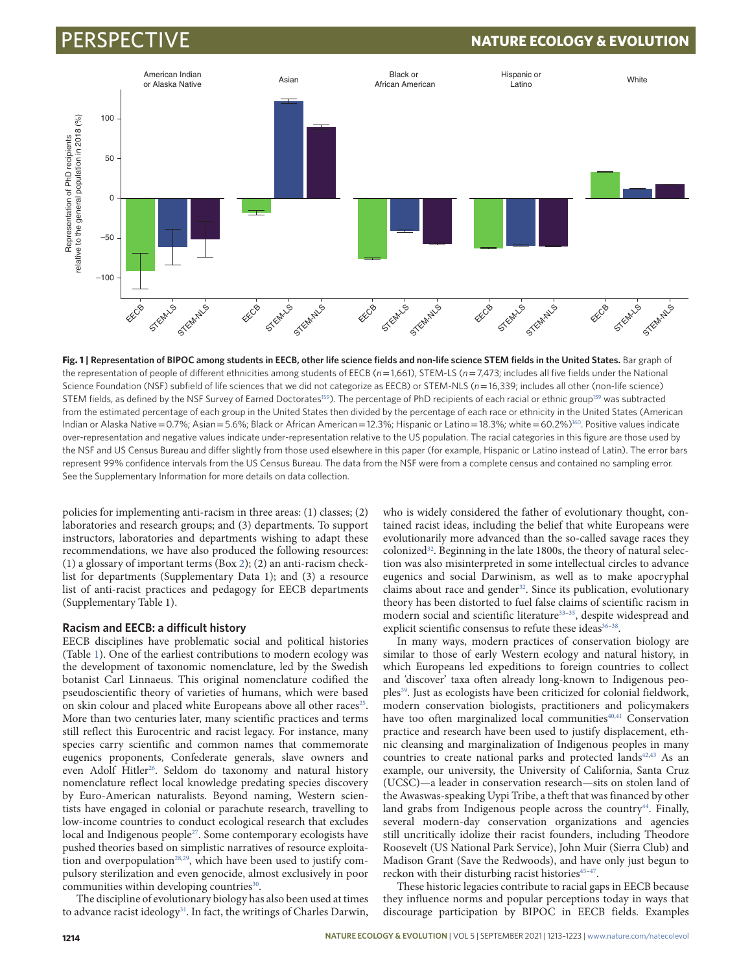

**Fig. 1 | Representation of BIPOC among students in EECB, other life science fields and non-life science STEM fields in the United States.** Bar graph of the representation of people of different ethnicities among students of EECB (*n*=1,661), STEM-LS (*n=7*,473; includes all five fields under the National Science Foundation (NSF) subfield of life sciences that we did not categorize as EECB) or STEM-NLS (*n*=-16,339; includes all other (non-life science) STEM fields, as defined by the NSF Survey of Earned Doctorates<sup>159</sup>). The percentage of PhD recipients of each racial or ethnic group<sup>159</sup> was subtracted from the estimated percentage of each group in the United States then divided by the percentage of each race or ethnicity in the United States (American Indian or Alaska Native = 0.7%; Asian = 5.6%; Black or African American = 12.3%; Hispanic or Latino = 18.3%; white = 60.2%)<sup>160</sup>. Positive values indicate over-representation and negative values indicate under-representation relative to the US population. The racial categories in this figure are those used by the NSF and US Census Bureau and differ slightly from those used elsewhere in this paper (for example, Hispanic or Latino instead of Latin). The error bars represent 99% confidence intervals from the US Census Bureau. The data from the NSF were from a complete census and contained no sampling error. See the Supplementary Information for more details on data collection.

policies for implementing anti-racism in three areas: (1) classes; (2) laboratories and research groups; and (3) departments. To support instructors, laboratories and departments wishing to adapt these recommendations, we have also produced the following resources: (1) a glossary of important terms (Box 2); (2) an anti-racism checklist for departments (Supplementary Data 1); and (3) a resource list of anti-racist practices and pedagogy for EECB departments (Supplementary Table 1).

## **Racism and EECB: a difficult history**

EECB disciplines have problematic social and political histories (Table 1). One of the earliest contributions to modern ecology was the development of taxonomic nomenclature, led by the Swedish botanist Carl Linnaeus. This original nomenclature codified the pseudoscientific theory of varieties of humans, which were based on skin colour and placed white Europeans above all other races<sup>25</sup>. More than two centuries later, many scientific practices and terms still reflect this Eurocentric and racist legacy. For instance, many species carry scientific and common names that commemorate eugenics proponents, Confederate generals, slave owners and even Adolf Hitler<sup>26</sup>. Seldom do taxonomy and natural history nomenclature reflect local knowledge predating species discovery by Euro-American naturalists. Beyond naming, Western scientists have engaged in colonial or parachute research, travelling to low-income countries to conduct ecological research that excludes local and Indigenous people<sup>27</sup>. Some contemporary ecologists have pushed theories based on simplistic narratives of resource exploitation and overpopulation<sup>28,29</sup>, which have been used to justify compulsory sterilization and even genocide, almost exclusively in poor communities within developing countries<sup>30</sup>.

The discipline of evolutionary biology has also been used at times to advance racist ideology<sup>31</sup>. In fact, the writings of Charles Darwin, who is widely considered the father of evolutionary thought, contained racist ideas, including the belief that white Europeans were evolutionarily more advanced than the so-called savage races they colonized<sup>32</sup>. Beginning in the late 1800s, the theory of natural selection was also misinterpreted in some intellectual circles to advance eugenics and social Darwinism, as well as to make apocryphal claims about race and gender<sup>32</sup>. Since its publication, evolutionary theory has been distorted to fuel false claims of scientific racism in modern social and scientific literature<sup>33-35</sup>, despite widespread and explicit scientific consensus to refute these ideas<sup>36-38</sup>.

In many ways, modern practices of conservation biology are similar to those of early Western ecology and natural history, in which Europeans led expeditions to foreign countries to collect and 'discover' taxa often already long-known to Indigenous peoples39. Just as ecologists have been criticized for colonial fieldwork, modern conservation biologists, practitioners and policymakers have too often marginalized local communities<sup>40,41</sup> Conservation practice and research have been used to justify displacement, ethnic cleansing and marginalization of Indigenous peoples in many countries to create national parks and protected lands<sup>42,43</sup> As an example, our university, the University of California, Santa Cruz (UCSC)—a leader in conservation research—sits on stolen land of the Awaswas-speaking Uypi Tribe, a theft that was financed by other land grabs from Indigenous people across the country<sup>44</sup>. Finally, several modern-day conservation organizations and agencies still uncritically idolize their racist founders, including Theodore Roosevelt (US National Park Service), John Muir (Sierra Club) and Madison Grant (Save the Redwoods), and have only just begun to reckon with their disturbing racist histories<sup>45-47</sup>.

These historic legacies contribute to racial gaps in EECB because they influence norms and popular perceptions today in ways that discourage participation by BIPOC in EECB fields. Examples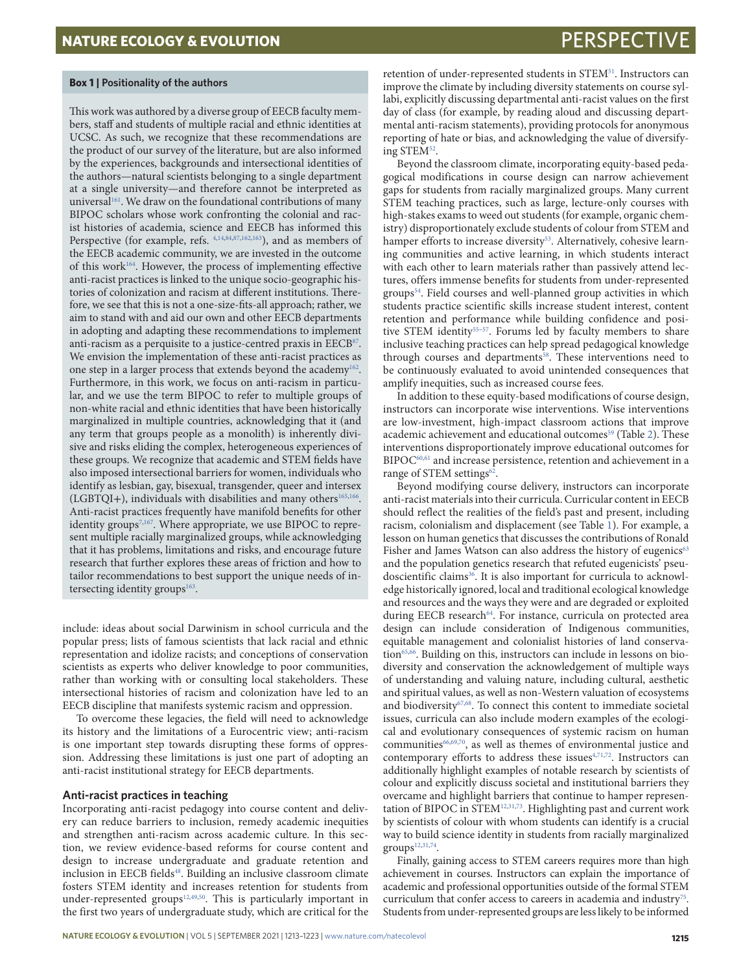## **Box 1 | Positionality of the authors**

This work was authored by a diverse group of EECB faculty members, staff and students of multiple racial and ethnic identities at UCSC. As such, we recognize that these recommendations are the product of our survey of the literature, but are also informed by the experiences, backgrounds and intersectional identities of the authors—natural scientists belonging to a single department at a single university—and therefore cannot be interpreted as universal<sup>161</sup>. We draw on the foundational contributions of many BIPOC scholars whose work confronting the colonial and racist histories of academia, science and EECB has informed this Perspective (for example, refs.  $4,14,84,87,162,163$ ), and as members of the EECB academic community, we are invested in the outcome of this work<sup>164</sup>. However, the process of implementing effective anti-racist practices is linked to the unique socio-geographic histories of colonization and racism at different institutions. Therefore, we see that this is not a one-size-fits-all approach; rather, we aim to stand with and aid our own and other EECB departments in adopting and adapting these recommendations to implement anti-racism as a perquisite to a justice-centred praxis in EECB<sup>87</sup>. We envision the implementation of these anti-racist practices as one step in a larger process that extends beyond the academy<sup>162</sup>. Furthermore, in this work, we focus on anti-racism in particular, and we use the term BIPOC to refer to multiple groups of non-white racial and ethnic identities that have been historically marginalized in multiple countries, acknowledging that it (and any term that groups people as a monolith) is inherently divisive and risks eliding the complex, heterogeneous experiences of these groups. We recognize that academic and STEM fields have also imposed intersectional barriers for women, individuals who identify as lesbian, gay, bisexual, transgender, queer and intersex (LGBTQI+), individuals with disabilities and many others<sup>165,166</sup>. Anti-racist practices frequently have manifold benefits for other identity groups<sup>7,167</sup>. Where appropriate, we use BIPOC to represent multiple racially marginalized groups, while acknowledging that it has problems, limitations and risks, and encourage future research that further explores these areas of friction and how to tailor recommendations to best support the unique needs of intersecting identity groups<sup>163</sup>.

include: ideas about social Darwinism in school curricula and the popular press; lists of famous scientists that lack racial and ethnic representation and idolize racists; and conceptions of conservation scientists as experts who deliver knowledge to poor communities, rather than working with or consulting local stakeholders. These intersectional histories of racism and colonization have led to an EECB discipline that manifests systemic racism and oppression.

To overcome these legacies, the field will need to acknowledge its history and the limitations of a Eurocentric view; anti-racism is one important step towards disrupting these forms of oppression. Addressing these limitations is just one part of adopting an anti-racist institutional strategy for EECB departments.

### **Anti-racist practices in teaching**

Incorporating anti-racist pedagogy into course content and delivery can reduce barriers to inclusion, remedy academic inequities and strengthen anti-racism across academic culture. In this section, we review evidence-based reforms for course content and design to increase undergraduate and graduate retention and inclusion in EECB fields<sup>48</sup>. Building an inclusive classroom climate fosters STEM identity and increases retention for students from under-represented groups<sup>12,49,50</sup>. This is particularly important in the first two years of undergraduate study, which are critical for the

retention of under-represented students in STEM<sup>51</sup>. Instructors can improve the climate by including diversity statements on course syllabi, explicitly discussing departmental anti-racist values on the first day of class (for example, by reading aloud and discussing departmental anti-racism statements), providing protocols for anonymous reporting of hate or bias, and acknowledging the value of diversifying STEM52.

Beyond the classroom climate, incorporating equity-based pedagogical modifications in course design can narrow achievement gaps for students from racially marginalized groups. Many current STEM teaching practices, such as large, lecture-only courses with high-stakes exams to weed out students (for example, organic chemistry) disproportionately exclude students of colour from STEM and hamper efforts to increase diversity<sup>53</sup>. Alternatively, cohesive learning communities and active learning, in which students interact with each other to learn materials rather than passively attend lectures, offers immense benefits for students from under-represented groups54. Field courses and well-planned group activities in which students practice scientific skills increase student interest, content retention and performance while building confidence and positive STEM identity<sup>55-57</sup>. Forums led by faculty members to share inclusive teaching practices can help spread pedagogical knowledge through courses and departments<sup>58</sup>. These interventions need to be continuously evaluated to avoid unintended consequences that amplify inequities, such as increased course fees.

In addition to these equity-based modifications of course design, instructors can incorporate wise interventions. Wise interventions are low-investment, high-impact classroom actions that improve academic achievement and educational outcomes<sup>59</sup> (Table 2). These interventions disproportionately improve educational outcomes for BIPOC<sup>60,61</sup> and increase persistence, retention and achievement in a range of STEM settings $62$ .

Beyond modifying course delivery, instructors can incorporate anti-racist materials into their curricula. Curricular content in EECB should reflect the realities of the field's past and present, including racism, colonialism and displacement (see Table 1). For example, a lesson on human genetics that discusses the contributions of Ronald Fisher and James Watson can also address the history of eugenics<sup>63</sup> and the population genetics research that refuted eugenicists' pseudoscientific claims<sup>36</sup>. It is also important for curricula to acknowledge historically ignored, local and traditional ecological knowledge and resources and the ways they were and are degraded or exploited during EECB research<sup>64</sup>. For instance, curricula on protected area design can include consideration of Indigenous communities, equitable management and colonialist histories of land conservation<sup>65,66</sup>. Building on this, instructors can include in lessons on biodiversity and conservation the acknowledgement of multiple ways of understanding and valuing nature, including cultural, aesthetic and spiritual values, as well as non-Western valuation of ecosystems and biodiversity<sup>67,68</sup>. To connect this content to immediate societal issues, curricula can also include modern examples of the ecological and evolutionary consequences of systemic racism on human communities<sup>66,69,70</sup>, as well as themes of environmental justice and contemporary efforts to address these issues<sup>4,71,72</sup>. Instructors can additionally highlight examples of notable research by scientists of colour and explicitly discuss societal and institutional barriers they overcame and highlight barriers that continue to hamper representation of BIPOC in STEM12,31,73. Highlighting past and current work by scientists of colour with whom students can identify is a crucial way to build science identity in students from racially marginalized  $groups<sup>12,31,74</sup>.$ 

Finally, gaining access to STEM careers requires more than high achievement in courses. Instructors can explain the importance of academic and professional opportunities outside of the formal STEM curriculum that confer access to careers in academia and industry<sup>75</sup>. Students from under-represented groups are less likely to be informed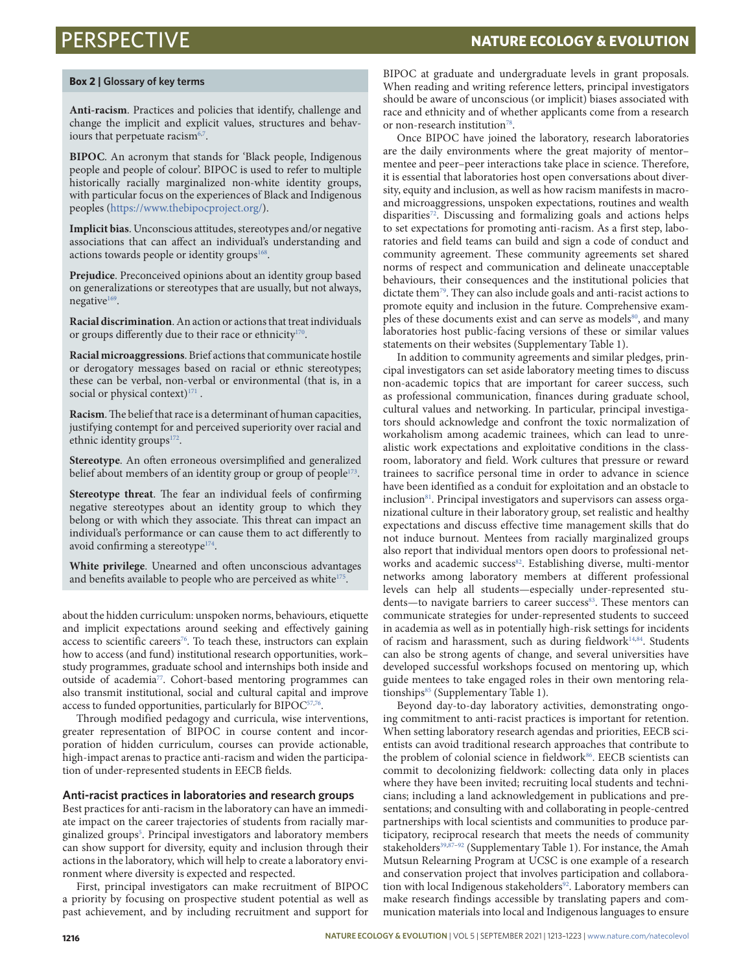## **Box 2 | Glossary of key terms**

**Anti-racism**. Practices and policies that identify, challenge and change the implicit and explicit values, structures and behaviours that perpetuate racism<sup>6,7</sup>.

**BIPOC**. An acronym that stands for 'Black people, Indigenous people and people of colour'. BIPOC is used to refer to multiple historically racially marginalized non-white identity groups, with particular focus on the experiences of Black and Indigenous peoples (https://www.thebipocproject.org/).

**Implicit bias**. Unconscious attitudes, stereotypes and/or negative associations that can affect an individual's understanding and actions towards people or identity groups<sup>168</sup>.

**Prejudice**. Preconceived opinions about an identity group based on generalizations or stereotypes that are usually, but not always, negative<sup>169</sup>.

**Racial discrimination**. An action or actions that treat individuals or groups differently due to their race or ethnicity<sup>170</sup>.

**Racial microaggressions**. Brief actions that communicate hostile or derogatory messages based on racial or ethnic stereotypes; these can be verbal, non-verbal or environmental (that is, in a social or physical context) $171$ .

**Racism**. The belief that race is a determinant of human capacities, justifying contempt for and perceived superiority over racial and ethnic identity groups<sup>172</sup>.

**Stereotype**. An often erroneous oversimplified and generalized belief about members of an identity group or group of people<sup>173</sup>.

**Stereotype threat**. The fear an individual feels of confirming negative stereotypes about an identity group to which they belong or with which they associate. This threat can impact an individual's performance or can cause them to act differently to avoid confirming a stereotype<sup>174</sup>.

**White privilege**. Unearned and often unconscious advantages and benefits available to people who are perceived as white<sup>175</sup>.

about the hidden curriculum: unspoken norms, behaviours, etiquette and implicit expectations around seeking and effectively gaining access to scientific careers<sup>76</sup>. To teach these, instructors can explain how to access (and fund) institutional research opportunities, work– study programmes, graduate school and internships both inside and outside of academia<sup>77</sup>. Cohort-based mentoring programmes can also transmit institutional, social and cultural capital and improve access to funded opportunities, particularly for BIPOC<sup>57,76</sup>.

Through modified pedagogy and curricula, wise interventions, greater representation of BIPOC in course content and incorporation of hidden curriculum, courses can provide actionable, high-impact arenas to practice anti-racism and widen the participation of under-represented students in EECB fields.

## **Anti-racist practices in laboratories and research groups**

Best practices for anti-racism in the laboratory can have an immediate impact on the career trajectories of students from racially marginalized groups<sup>5</sup>. Principal investigators and laboratory members can show support for diversity, equity and inclusion through their actions in the laboratory, which will help to create a laboratory environment where diversity is expected and respected.

First, principal investigators can make recruitment of BIPOC a priority by focusing on prospective student potential as well as past achievement, and by including recruitment and support for

BIPOC at graduate and undergraduate levels in grant proposals. When reading and writing reference letters, principal investigators should be aware of unconscious (or implicit) biases associated with race and ethnicity and of whether applicants come from a research or non-research institution<sup>78</sup>.

Once BIPOC have joined the laboratory, research laboratories are the daily environments where the great majority of mentor– mentee and peer–peer interactions take place in science. Therefore, it is essential that laboratories host open conversations about diversity, equity and inclusion, as well as how racism manifests in macroand microaggressions, unspoken expectations, routines and wealth disparities<sup>72</sup>. Discussing and formalizing goals and actions helps to set expectations for promoting anti-racism. As a first step, laboratories and field teams can build and sign a code of conduct and community agreement. These community agreements set shared norms of respect and communication and delineate unacceptable behaviours, their consequences and the institutional policies that dictate them<sup>79</sup>. They can also include goals and anti-racist actions to promote equity and inclusion in the future. Comprehensive examples of these documents exist and can serve as models<sup>80</sup>, and many laboratories host public-facing versions of these or similar values statements on their websites (Supplementary Table 1).

In addition to community agreements and similar pledges, principal investigators can set aside laboratory meeting times to discuss non-academic topics that are important for career success, such as professional communication, finances during graduate school, cultural values and networking. In particular, principal investigators should acknowledge and confront the toxic normalization of workaholism among academic trainees, which can lead to unrealistic work expectations and exploitative conditions in the classroom, laboratory and field. Work cultures that pressure or reward trainees to sacrifice personal time in order to advance in science have been identified as a conduit for exploitation and an obstacle to inclusion<sup>81</sup>. Principal investigators and supervisors can assess organizational culture in their laboratory group, set realistic and healthy expectations and discuss effective time management skills that do not induce burnout. Mentees from racially marginalized groups also report that individual mentors open doors to professional networks and academic success<sup>82</sup>. Establishing diverse, multi-mentor networks among laboratory members at different professional levels can help all students—especially under-represented students—to navigate barriers to career success<sup>83</sup>. These mentors can communicate strategies for under-represented students to succeed in academia as well as in potentially high-risk settings for incidents of racism and harassment, such as during fieldwork<sup>14,84</sup>. Students can also be strong agents of change, and several universities have developed successful workshops focused on mentoring up, which guide mentees to take engaged roles in their own mentoring relationships<sup>85</sup> (Supplementary Table 1).

Beyond day-to-day laboratory activities, demonstrating ongoing commitment to anti-racist practices is important for retention. When setting laboratory research agendas and priorities, EECB scientists can avoid traditional research approaches that contribute to the problem of colonial science in fieldwork<sup>86</sup>. EECB scientists can commit to decolonizing fieldwork: collecting data only in places where they have been invited; recruiting local students and technicians; including a land acknowledgement in publications and presentations; and consulting with and collaborating in people-centred partnerships with local scientists and communities to produce participatory, reciprocal research that meets the needs of community stakeholders<sup>39,87-92</sup> (Supplementary Table 1). For instance, the Amah Mutsun Relearning Program at UCSC is one example of a research and conservation project that involves participation and collaboration with local Indigenous stakeholders<sup>92</sup>. Laboratory members can make research findings accessible by translating papers and communication materials into local and Indigenous languages to ensure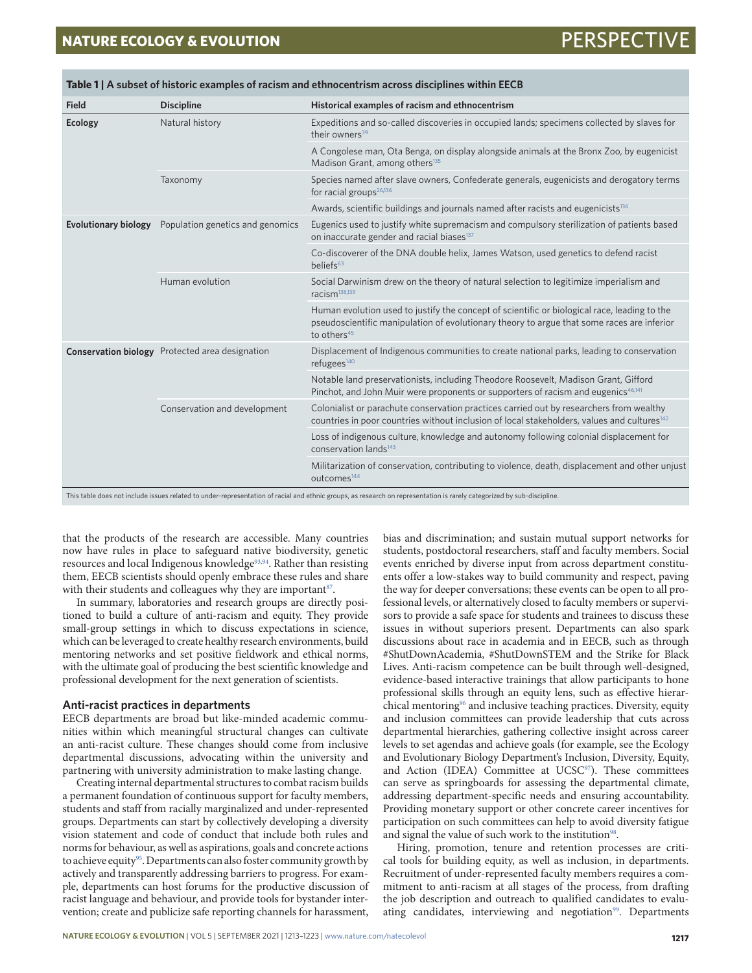| <b>Field</b>                | <b>Discipline</b>                               | Historical examples of racism and ethnocentrism                                                                                                                                                                       |  |  |
|-----------------------------|-------------------------------------------------|-----------------------------------------------------------------------------------------------------------------------------------------------------------------------------------------------------------------------|--|--|
| <b>Ecology</b>              | Natural history                                 | Expeditions and so-called discoveries in occupied lands; specimens collected by slaves for<br>their owners <sup>39</sup>                                                                                              |  |  |
|                             |                                                 | A Congolese man, Ota Benga, on display alongside animals at the Bronx Zoo, by eugenicist<br>Madison Grant, among others <sup>135</sup>                                                                                |  |  |
|                             | Taxonomy                                        | Species named after slave owners, Confederate generals, eugenicists and derogatory terms<br>for racial groups $26,136$                                                                                                |  |  |
|                             |                                                 | Awards, scientific buildings and journals named after racists and eugenicists <sup>136</sup>                                                                                                                          |  |  |
| <b>Evolutionary biology</b> | Population genetics and genomics                | Eugenics used to justify white supremacism and compulsory sterilization of patients based<br>on inaccurate gender and racial biases <sup>137</sup>                                                                    |  |  |
|                             |                                                 | Co-discoverer of the DNA double helix, James Watson, used genetics to defend racist<br>beliefs <sup>63</sup>                                                                                                          |  |  |
|                             | Human evolution                                 | Social Darwinism drew on the theory of natural selection to legitimize imperialism and<br>racism <sup>138,139</sup>                                                                                                   |  |  |
|                             |                                                 | Human evolution used to justify the concept of scientific or biological race, leading to the<br>pseudoscientific manipulation of evolutionary theory to argue that some races are inferior<br>to others <sup>45</sup> |  |  |
|                             | Conservation biology Protected area designation | Displacement of Indigenous communities to create national parks, leading to conservation<br>refugees <sup>140</sup>                                                                                                   |  |  |
|                             |                                                 | Notable land preservationists, including Theodore Roosevelt, Madison Grant, Gifford<br>Pinchot, and John Muir were proponents or supporters of racism and eugenics <sup>46,141</sup>                                  |  |  |
|                             | Conservation and development                    | Colonialist or parachute conservation practices carried out by researchers from wealthy<br>countries in poor countries without inclusion of local stakeholders, values and cultures <sup>142</sup>                    |  |  |
|                             |                                                 | Loss of indigenous culture, knowledge and autonomy following colonial displacement for<br>conservation lands <sup>143</sup>                                                                                           |  |  |
|                             |                                                 | Militarization of conservation, contributing to violence, death, displacement and other unjust<br>outcomes <sup>144</sup>                                                                                             |  |  |

### **Table 1 | A subset of historic examples of racism and ethnocentrism across disciplines within EECB**

This table does not include issues related to under-representation of racial and ethnic groups, as research on representation is rarely categorized by sub-discipline.

that the products of the research are accessible. Many countries now have rules in place to safeguard native biodiversity, genetic resources and local Indigenous knowledge<sup>93,94</sup>. Rather than resisting them, EECB scientists should openly embrace these rules and share with their students and colleagues why they are important<sup>87</sup>.

In summary, laboratories and research groups are directly positioned to build a culture of anti-racism and equity. They provide small-group settings in which to discuss expectations in science, which can be leveraged to create healthy research environments, build mentoring networks and set positive fieldwork and ethical norms, with the ultimate goal of producing the best scientific knowledge and professional development for the next generation of scientists.

## **Anti-racist practices in departments**

EECB departments are broad but like-minded academic communities within which meaningful structural changes can cultivate an anti-racist culture. These changes should come from inclusive departmental discussions, advocating within the university and partnering with university administration to make lasting change.

Creating internal departmental structures to combat racism builds a permanent foundation of continuous support for faculty members, students and staff from racially marginalized and under-represented groups. Departments can start by collectively developing a diversity vision statement and code of conduct that include both rules and norms for behaviour, as well as aspirations, goals and concrete actions to achieve equity<sup>95</sup>. Departments can also foster community growth by actively and transparently addressing barriers to progress. For example, departments can host forums for the productive discussion of racist language and behaviour, and provide tools for bystander intervention; create and publicize safe reporting channels for harassment,

bias and discrimination; and sustain mutual support networks for students, postdoctoral researchers, staff and faculty members. Social events enriched by diverse input from across department constituents offer a low-stakes way to build community and respect, paving the way for deeper conversations; these events can be open to all professional levels, or alternatively closed to faculty members or supervisors to provide a safe space for students and trainees to discuss these issues in without superiors present. Departments can also spark discussions about race in academia and in EECB, such as through #ShutDownAcademia, #ShutDownSTEM and the Strike for Black Lives. Anti-racism competence can be built through well-designed, evidence-based interactive trainings that allow participants to hone professional skills through an equity lens, such as effective hierarchical mentoring<sup>96</sup> and inclusive teaching practices. Diversity, equity and inclusion committees can provide leadership that cuts across departmental hierarchies, gathering collective insight across career levels to set agendas and achieve goals (for example, see the Ecology and Evolutionary Biology Department's Inclusion, Diversity, Equity, and Action (IDEA) Committee at UCSC<sup>97</sup>). These committees can serve as springboards for assessing the departmental climate, addressing department-specific needs and ensuring accountability. Providing monetary support or other concrete career incentives for participation on such committees can help to avoid diversity fatigue and signal the value of such work to the institution<sup>98</sup>.

Hiring, promotion, tenure and retention processes are critical tools for building equity, as well as inclusion, in departments. Recruitment of under-represented faculty members requires a commitment to anti-racism at all stages of the process, from drafting the job description and outreach to qualified candidates to evaluating candidates, interviewing and negotiation<sup>99</sup>. Departments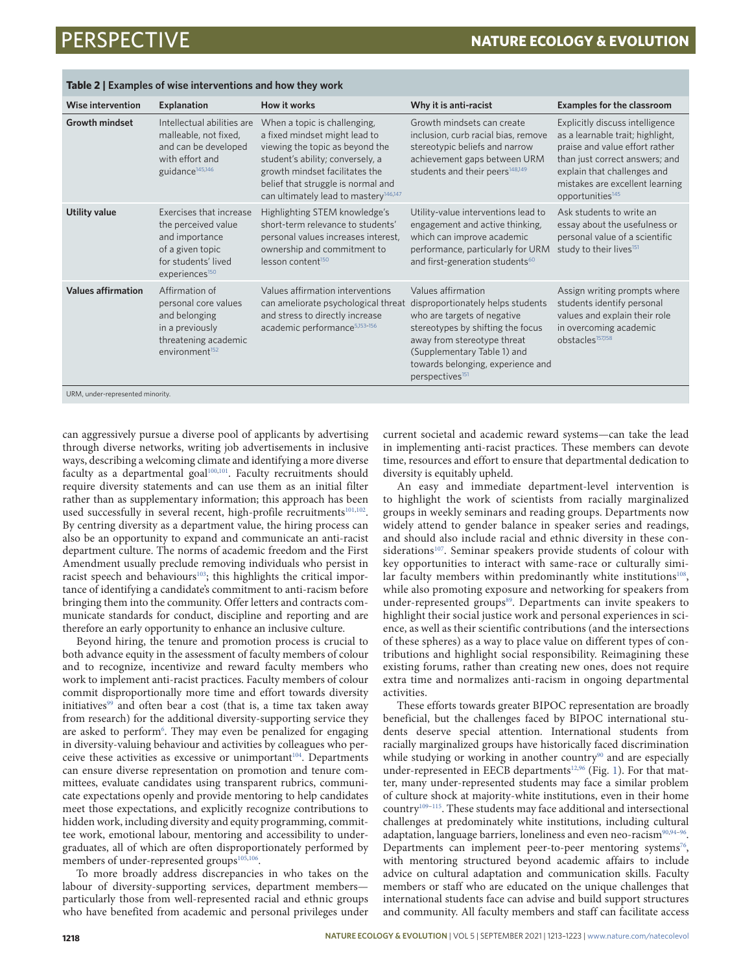|  |  |  | <b>Table 2   Examples of wise interventions and how they work</b> |
|--|--|--|-------------------------------------------------------------------|
|--|--|--|-------------------------------------------------------------------|

| <b>Wise intervention</b>         | Explanation                                                                                                                               | How it works                                                                                                                                                                                                                                                      | Why it is anti-racist                                                                                                                                                                                                                                         | <b>Examples for the classroom</b>                                                                                                                                                                                                         |  |
|----------------------------------|-------------------------------------------------------------------------------------------------------------------------------------------|-------------------------------------------------------------------------------------------------------------------------------------------------------------------------------------------------------------------------------------------------------------------|---------------------------------------------------------------------------------------------------------------------------------------------------------------------------------------------------------------------------------------------------------------|-------------------------------------------------------------------------------------------------------------------------------------------------------------------------------------------------------------------------------------------|--|
| <b>Growth mindset</b>            | Intellectual abilities are<br>malleable, not fixed,<br>and can be developed<br>with effort and<br>guidance <sup>145,146</sup>             | When a topic is challenging,<br>a fixed mindset might lead to<br>viewing the topic as beyond the<br>student's ability; conversely, a<br>growth mindset facilitates the<br>belief that struggle is normal and<br>can ultimately lead to mastery <sup>146,147</sup> | Growth mindsets can create<br>inclusion, curb racial bias, remove<br>stereotypic beliefs and narrow<br>achievement gaps between URM<br>students and their peers <sup>148,149</sup>                                                                            | Explicitly discuss intelligence<br>as a learnable trait; highlight,<br>praise and value effort rather<br>than just correct answers; and<br>explain that challenges and<br>mistakes are excellent learning<br>opportunities <sup>145</sup> |  |
| <b>Utility value</b>             | Exercises that increase<br>the perceived value<br>and importance<br>of a given topic<br>for students' lived<br>experiences <sup>150</sup> | Highlighting STEM knowledge's<br>short-term relevance to students'<br>personal values increases interest,<br>ownership and commitment to<br>lesson content <sup>150</sup>                                                                                         | Utility-value interventions lead to<br>engagement and active thinking,<br>which can improve academic<br>performance, particularly for URM<br>and first-generation students <sup>60</sup>                                                                      | Ask students to write an<br>essay about the usefulness or<br>personal value of a scientific<br>study to their lives <sup>151</sup>                                                                                                        |  |
| <b>Values affirmation</b>        | Affirmation of<br>personal core values<br>and belonging<br>in a previously<br>threatening academic<br>environment <sup>152</sup>          | Values affirmation interventions<br>can ameliorate psychological threat<br>and stress to directly increase<br>academic performance <sup>5,153-156</sup>                                                                                                           | Values affirmation<br>disproportionately helps students<br>who are targets of negative<br>stereotypes by shifting the focus<br>away from stereotype threat<br>(Supplementary Table 1) and<br>towards belonging, experience and<br>perspectives <sup>151</sup> | Assign writing prompts where<br>students identify personal<br>values and explain their role<br>in overcoming academic<br>obstacles <sup>157,158</sup>                                                                                     |  |
| URM, under-represented minority. |                                                                                                                                           |                                                                                                                                                                                                                                                                   |                                                                                                                                                                                                                                                               |                                                                                                                                                                                                                                           |  |

can aggressively pursue a diverse pool of applicants by advertising through diverse networks, writing job advertisements in inclusive ways, describing a welcoming climate and identifying a more diverse faculty as a departmental goal<sup>100,101</sup>. Faculty recruitments should require diversity statements and can use them as an initial filter rather than as supplementary information; this approach has been used successfully in several recent, high-profile recruitments<sup>101,102</sup>. By centring diversity as a department value, the hiring process can also be an opportunity to expand and communicate an anti-racist department culture. The norms of academic freedom and the First Amendment usually preclude removing individuals who persist in racist speech and behaviours<sup>103</sup>; this highlights the critical importance of identifying a candidate's commitment to anti-racism before bringing them into the community. Offer letters and contracts communicate standards for conduct, discipline and reporting and are therefore an early opportunity to enhance an inclusive culture.

Beyond hiring, the tenure and promotion process is crucial to both advance equity in the assessment of faculty members of colour and to recognize, incentivize and reward faculty members who work to implement anti-racist practices. Faculty members of colour commit disproportionally more time and effort towards diversity initiatives<sup>99</sup> and often bear a cost (that is, a time tax taken away from research) for the additional diversity-supporting service they are asked to perform<sup>6</sup>. They may even be penalized for engaging in diversity-valuing behaviour and activities by colleagues who perceive these activities as excessive or unimportant<sup>104</sup>. Departments can ensure diverse representation on promotion and tenure committees, evaluate candidates using transparent rubrics, communicate expectations openly and provide mentoring to help candidates meet those expectations, and explicitly recognize contributions to hidden work, including diversity and equity programming, committee work, emotional labour, mentoring and accessibility to undergraduates, all of which are often disproportionately performed by members of under-represented groups<sup>105,106</sup>.

To more broadly address discrepancies in who takes on the labour of diversity-supporting services, department members particularly those from well-represented racial and ethnic groups who have benefited from academic and personal privileges under current societal and academic reward systems—can take the lead in implementing anti-racist practices. These members can devote time, resources and effort to ensure that departmental dedication to diversity is equitably upheld.

An easy and immediate department-level intervention is to highlight the work of scientists from racially marginalized groups in weekly seminars and reading groups. Departments now widely attend to gender balance in speaker series and readings, and should also include racial and ethnic diversity in these considerations<sup>107</sup>. Seminar speakers provide students of colour with key opportunities to interact with same-race or culturally similar faculty members within predominantly white institutions $108$ , while also promoting exposure and networking for speakers from under-represented groups<sup>89</sup>. Departments can invite speakers to highlight their social justice work and personal experiences in science, as well as their scientific contributions (and the intersections of these spheres) as a way to place value on different types of contributions and highlight social responsibility. Reimagining these existing forums, rather than creating new ones, does not require extra time and normalizes anti-racism in ongoing departmental activities.

These efforts towards greater BIPOC representation are broadly beneficial, but the challenges faced by BIPOC international students deserve special attention. International students from racially marginalized groups have historically faced discrimination while studying or working in another country<sup>90</sup> and are especially under-represented in EECB departments<sup>12,96</sup> (Fig. 1). For that matter, many under-represented students may face a similar problem of culture shock at majority-white institutions, even in their home country109–115. These students may face additional and intersectional challenges at predominately white institutions, including cultural adaptation, language barriers, loneliness and even neo-racism<sup>90,94-96</sup>. Departments can implement peer-to-peer mentoring systems<sup>76</sup>, with mentoring structured beyond academic affairs to include advice on cultural adaptation and communication skills. Faculty members or staff who are educated on the unique challenges that international students face can advise and build support structures and community. All faculty members and staff can facilitate access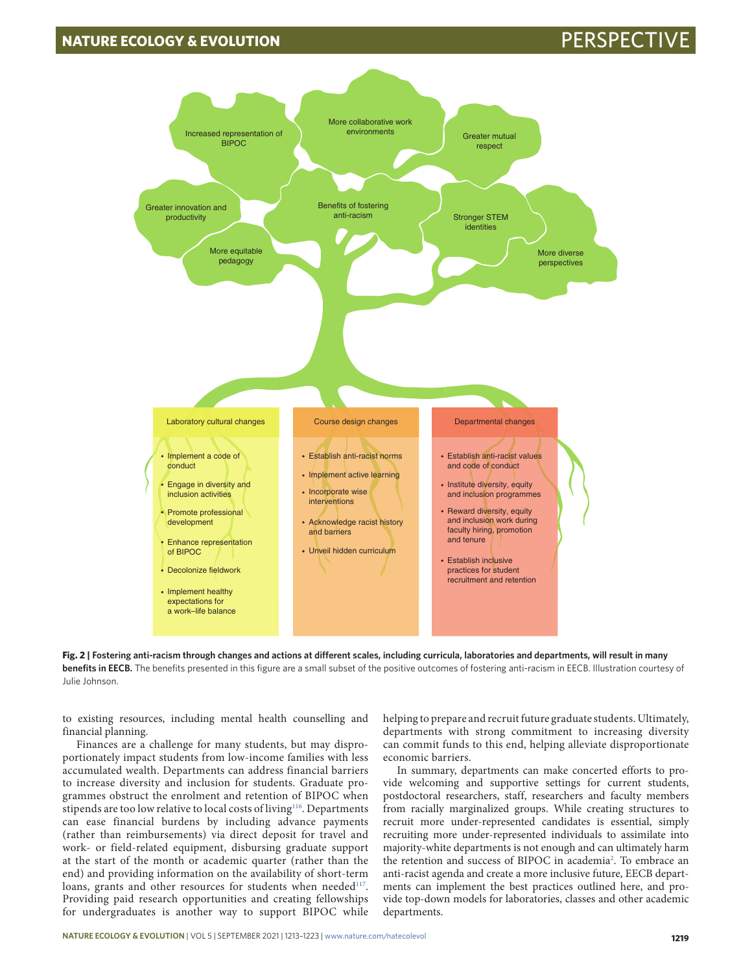## **NATURE ECOLOGY & EVOLUTION PERSPECTION**



**Fig. 2 | Fostering anti-racism through changes and actions at different scales, including curricula, laboratories and departments, will result in many benefits in EECB.** The benefits presented in this figure are a small subset of the positive outcomes of fostering anti-racism in EECB. Illustration courtesy of Julie Johnson.

to existing resources, including mental health counselling and financial planning.

Finances are a challenge for many students, but may disproportionately impact students from low-income families with less accumulated wealth. Departments can address financial barriers to increase diversity and inclusion for students. Graduate programmes obstruct the enrolment and retention of BIPOC when stipends are too low relative to local costs of living<sup>116</sup>. Departments can ease financial burdens by including advance payments (rather than reimbursements) via direct deposit for travel and work- or field-related equipment, disbursing graduate support at the start of the month or academic quarter (rather than the end) and providing information on the availability of short-term loans, grants and other resources for students when needed<sup>117</sup>. Providing paid research opportunities and creating fellowships for undergraduates is another way to support BIPOC while

helping to prepare and recruit future graduate students. Ultimately, departments with strong commitment to increasing diversity can commit funds to this end, helping alleviate disproportionate economic barriers.

In summary, departments can make concerted efforts to provide welcoming and supportive settings for current students, postdoctoral researchers, staff, researchers and faculty members from racially marginalized groups. While creating structures to recruit more under-represented candidates is essential, simply recruiting more under-represented individuals to assimilate into majority-white departments is not enough and can ultimately harm the retention and success of BIPOC in academia<sup>2</sup>. To embrace an anti-racist agenda and create a more inclusive future, EECB departments can implement the best practices outlined here, and provide top-down models for laboratories, classes and other academic departments.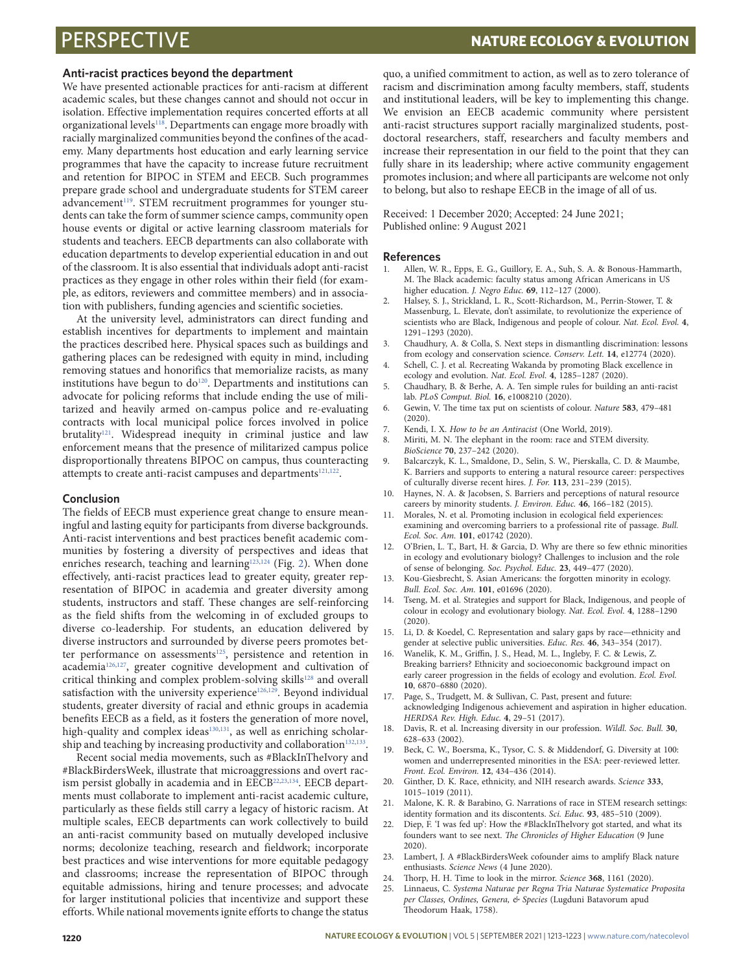## **Anti-racist practices beyond the department**

We have presented actionable practices for anti-racism at different academic scales, but these changes cannot and should not occur in isolation. Effective implementation requires concerted efforts at all organizational levels<sup>118</sup>. Departments can engage more broadly with racially marginalized communities beyond the confines of the academy. Many departments host education and early learning service programmes that have the capacity to increase future recruitment and retention for BIPOC in STEM and EECB. Such programmes prepare grade school and undergraduate students for STEM career advancement<sup>119</sup>. STEM recruitment programmes for younger students can take the form of summer science camps, community open house events or digital or active learning classroom materials for students and teachers. EECB departments can also collaborate with education departments to develop experiential education in and out of the classroom. It is also essential that individuals adopt anti-racist practices as they engage in other roles within their field (for example, as editors, reviewers and committee members) and in association with publishers, funding agencies and scientific societies.

At the university level, administrators can direct funding and establish incentives for departments to implement and maintain the practices described here. Physical spaces such as buildings and gathering places can be redesigned with equity in mind, including removing statues and honorifics that memorialize racists, as many institutions have begun to  $do<sup>120</sup>$ . Departments and institutions can advocate for policing reforms that include ending the use of militarized and heavily armed on-campus police and re-evaluating contracts with local municipal police forces involved in police brutality<sup>121</sup>. Widespread inequity in criminal justice and law enforcement means that the presence of militarized campus police disproportionally threatens BIPOC on campus, thus counteracting attempts to create anti-racist campuses and departments<sup>121,122</sup>.

## **Conclusion**

The fields of EECB must experience great change to ensure meaningful and lasting equity for participants from diverse backgrounds. Anti-racist interventions and best practices benefit academic communities by fostering a diversity of perspectives and ideas that enriches research, teaching and learning<sup>123,124</sup> (Fig. 2). When done effectively, anti-racist practices lead to greater equity, greater representation of BIPOC in academia and greater diversity among students, instructors and staff. These changes are self-reinforcing as the field shifts from the welcoming in of excluded groups to diverse co-leadership. For students, an education delivered by diverse instructors and surrounded by diverse peers promotes better performance on assessments<sup>125</sup>, persistence and retention in academia<sup>126,127</sup>, greater cognitive development and cultivation of critical thinking and complex problem-solving skills<sup>128</sup> and overall satisfaction with the university experience<sup>126,129</sup>. Beyond individual students, greater diversity of racial and ethnic groups in academia benefits EECB as a field, as it fosters the generation of more novel, high-quality and complex ideas<sup>130,131</sup>, as well as enriching scholarship and teaching by increasing productivity and collaboration<sup>132,133</sup>.

Recent social media movements, such as #BlackInTheIvory and #BlackBirdersWeek, illustrate that microaggressions and overt racism persist globally in academia and in EECB<sup>22,23,134</sup>. EECB departments must collaborate to implement anti-racist academic culture, particularly as these fields still carry a legacy of historic racism. At multiple scales, EECB departments can work collectively to build an anti-racist community based on mutually developed inclusive norms; decolonize teaching, research and fieldwork; incorporate best practices and wise interventions for more equitable pedagogy and classrooms; increase the representation of BIPOC through equitable admissions, hiring and tenure processes; and advocate for larger institutional policies that incentivize and support these efforts. While national movements ignite efforts to change the status

quo, a unified commitment to action, as well as to zero tolerance of racism and discrimination among faculty members, staff, students and institutional leaders, will be key to implementing this change. We envision an EECB academic community where persistent anti-racist structures support racially marginalized students, postdoctoral researchers, staff, researchers and faculty members and increase their representation in our field to the point that they can fully share in its leadership; where active community engagement promotes inclusion; and where all participants are welcome not only to belong, but also to reshape EECB in the image of all of us.

Received: 1 December 2020; Accepted: 24 June 2021; Published online: 9 August 2021

### **References**

- Allen, W. R., Epps, E. G., Guillory, E. A., Suh, S. A. & Bonous-Hammarth, M. The Black academic: faculty status among African Americans in US higher education. *J. Negro Educ.* **69**, 112–127 (2000).
- 2. Halsey, S. J., Strickland, L. R., Scott-Richardson, M., Perrin-Stower, T. & Massenburg, L. Elevate, don't assimilate, to revolutionize the experience of scientists who are Black, Indigenous and people of colour. *Nat. Ecol. Evol.* **4**, 1291–1293 (2020).
- 3. Chaudhury, A. & Colla, S. Next steps in dismantling discrimination: lessons from ecology and conservation science. *Conserv. Lett.* **14**, e12774 (2020).
- 4. Schell, C. J. et al. Recreating Wakanda by promoting Black excellence in ecology and evolution. *Nat. Ecol. Evol.* **4**, 1285–1287 (2020).
- 5. Chaudhary, B. & Berhe, A. A. Ten simple rules for building an anti-racist lab. *PLoS Comput. Biol.* **16**, e1008210 (2020).
- 6. Gewin, V. The time tax put on scientists of colour. *Nature* **583**, 479–481 (2020).
- 7. Kendi, I. X. *How to be an Antiracist* (One World, 2019).
- 8. Miriti, M. N. The elephant in the room: race and STEM diversity. *BioScience* **70**, 237–242 (2020).
- 9. Balcarczyk, K. L., Smaldone, D., Selin, S. W., Pierskalla, C. D. & Maumbe, K. Barriers and supports to entering a natural resource career: perspectives of culturally diverse recent hires. *J. For.* **113**, 231–239 (2015).
- 10. Haynes, N. A. & Jacobsen, S. Barriers and perceptions of natural resource careers by minority students. *J. Environ. Educ.* **46**, 166–182 (2015).
- 11. Morales, N. et al. Promoting inclusion in ecological field experiences: examining and overcoming barriers to a professional rite of passage. *Bull. Ecol. Soc. Am.* **101**, e01742 (2020).
- 12. O'Brien, L. T., Bart, H. & Garcia, D. Why are there so few ethnic minorities in ecology and evolutionary biology? Challenges to inclusion and the role of sense of belonging. *Soc. Psychol. Educ.* **23**, 449–477 (2020).
- 13. Kou-Giesbrecht, S. Asian Americans: the forgotten minority in ecology. *Bull. Ecol. Soc. Am.* **101**, e01696 (2020).
- 14. Tseng, M. et al. Strategies and support for Black, Indigenous, and people of colour in ecology and evolutionary biology. *Nat. Ecol. Evol.* **4**, 1288–1290 (2020).
- 15. Li, D. & Koedel, C. Representation and salary gaps by race—ethnicity and gender at selective public universities. *Educ. Res.* **46**, 343–354 (2017).
- 16. Wanelik, K. M., Griffin, J. S., Head, M. L., Ingleby, F. C. & Lewis, Z. Breaking barriers? Ethnicity and socioeconomic background impact on early career progression in the fields of ecology and evolution. *Ecol. Evol.* **10**, 6870–6880 (2020).
- 17. Page, S., Trudgett, M. & Sullivan, C. Past, present and future: acknowledging Indigenous achievement and aspiration in higher education. *HERDSA Rev. High. Educ.* **4**, 29–51 (2017).
- 18. Davis, R. et al. Increasing diversity in our profession. *Wildl. Soc. Bull.* **30**, 628–633 (2002).
- 19. Beck, C. W., Boersma, K., Tysor, C. S. & Middendorf, G. Diversity at 100: women and underrepresented minorities in the ESA: peer-reviewed letter. *Front. Ecol. Environ.* **12**, 434–436 (2014).
- 20. Ginther, D. K. Race, ethnicity, and NIH research awards. *Science* **333**, 1015–1019 (2011).
- 21. Malone, K. R. & Barabino, G. Narrations of race in STEM research settings: identity formation and its discontents. *Sci. Educ.* **93**, 485–510 (2009).
- 22. Diep, F. 'I was fed up': How the #BlackInTheIvory got started, and what its founders want to see next. *The Chronicles of Higher Education* (9 June 2020).
- 23. Lambert, J. A #BlackBirdersWeek cofounder aims to amplify Black nature enthusiasts. *Science News* (4 June 2020).
- 24. Thorp, H. H. Time to look in the mirror. *Science* **368**, 1161 (2020).
- 25. Linnaeus, C. *Systema Naturae per Regna Tria Naturae Systematice Proposita per Classes, Ordines, Genera, & Species* (Lugduni Batavorum apud Theodorum Haak, 1758).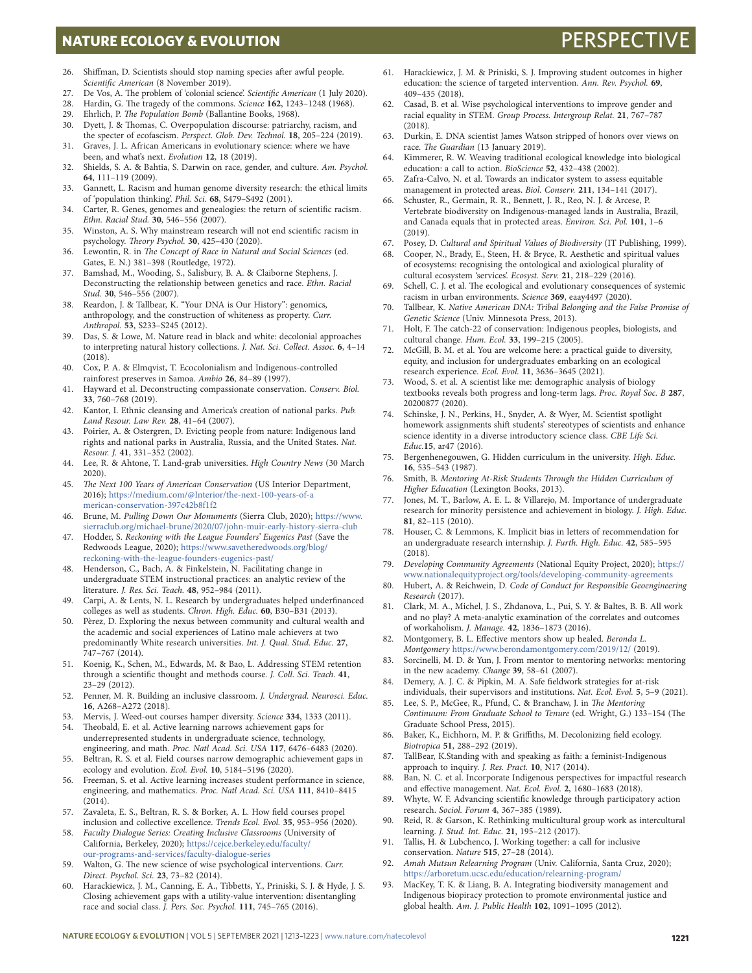## **NATURE ECOLOGY & EVOLUTION** PERSPECTIVE

- 26. Shiffman, D. Scientists should stop naming species after awful people. *Scientific American* (8 November 2019).
- 27. De Vos, A. The problem of 'colonial science'. *Scientific American* (1 July 2020).
- 28. Hardin, G. The tragedy of the commons. *Science* **162**, 1243–1248 (1968).<br>29. Ehrlich P. The Population Bomb (Ballantine Books, 1968).
- 29. Ehrlich, P. *The Population Bomb* (Ballantine Books, 1968).
- 30. Dyett, J. & Thomas, C. Overpopulation discourse: patriarchy, racism, and the specter of ecofascism. *Perspect. Glob. Dev. Technol.* **18**, 205–224 (2019).
- 31. Graves, J. L. African Americans in evolutionary science: where we have been, and what's next. *Evolution* **12**, 18 (2019).
- 32. Shields, S. A. & Bahtia, S. Darwin on race, gender, and culture. *Am. Psychol.* **64**, 111–119 (2009).
- 33. Gannett, L. Racism and human genome diversity research: the ethical limits of 'population thinking'. *Phil. Sci.* **68**, S479–S492 (2001).
- 34. Carter, R. Genes, genomes and genealogies: the return of scientific racism. *Ethn. Racial Stud.* **30**, 546–556 (2007).
- 35. Winston, A. S. Why mainstream research will not end scientific racism in psychology. *Theory Psychol.* **30**, 425–430 (2020).
- 36. Lewontin, R. in *The Concept of Race in Natural and Social Sciences* (ed. Gates, E. N.) 381–398 (Routledge, 1972).
- 37. Bamshad, M., Wooding, S., Salisbury, B. A. & Claiborne Stephens, J. Deconstructing the relationship between genetics and race. *Ethn. Racial Stud.* **30**, 546–556 (2007).
- 38. Reardon, J. & Tallbear, K. "Your DNA is Our History": genomics, anthropology, and the construction of whiteness as property. *Curr. Anthropol.* **53**, S233–S245 (2012).
- 39. Das, S. & Lowe, M. Nature read in black and white: decolonial approaches to interpreting natural history collections. *J. Nat. Sci. Collect. Assoc.* **6**, 4–14 (2018).
- 40. Cox, P. A. & Elmqvist, T. Ecocolonialism and Indigenous-controlled rainforest preserves in Samoa. *Ambio* **26**, 84–89 (1997).
- 41. Hayward et al. Deconstructing compassionate conservation. *Conserv. Biol.* **33**, 760–768 (2019).
- 42. Kantor, I. Ethnic cleansing and America's creation of national parks. *Pub. Land Resour. Law Rev.* **28**, 41–64 (2007).
- 43. Poirier, A. & Ostergren, D. Evicting people from nature: Indigenous land rights and national parks in Australia, Russia, and the United States. *Nat. Resour. J.* **41**, 331–352 (2002).
- 44. Lee, R. & Ahtone, T. Land-grab universities. *High Country News* (30 March 2020).
- 45. *The Next 100 Years of American Conservation* (US Interior Department, 2016); https://medium.com/@Interior/the-next-100-years-of-a merican-conservation-397c42b8f1f2
- 46. Brune, M. *Pulling Down Our Monuments* (Sierra Club, 2020); https://www. sierraclub.org/michael-brune/2020/07/john-muir-early-history-sierra-club
- 47. Hodder, S. *Reckoning with the League Founders' Eugenics Past* (Save the Redwoods League, 2020); https://www.savetheredwoods.org/blog/ reckoning-with-the-league-founders-eugenics-past/
- 48. Henderson, C., Bach, A. & Finkelstein, N. Facilitating change in undergraduate STEM instructional practices: an analytic review of the literature. *J. Res. Sci. Teach.* **48**, 952–984 (2011).
- 49. Carpi, A. & Lents, N. L. Research by undergraduates helped underfinanced colleges as well as students. *Chron. High. Educ.* **60**, B30–B31 (2013).
- 50. Pèrez, D. Exploring the nexus between community and cultural wealth and the academic and social experiences of Latino male achievers at two predominantly White research universities. *Int. J. Qual. Stud. Educ.* **27**,  $747 - 767 (2014)$
- 51. Koenig, K., Schen, M., Edwards, M. & Bao, L. Addressing STEM retention through a scientific thought and methods course. *J. Coll. Sci. Teach.* **41**, 23–29 (2012).
- 52. Penner, M. R. Building an inclusive classroom. *J. Undergrad. Neurosci. Educ.* **16**, A268–A272 (2018).
- 53. Mervis, J. Weed-out courses hamper diversity. *Science* **334**, 1333 (2011).
- 54. Theobald, E. et al. Active learning narrows achievement gaps for underrepresented students in undergraduate science, technology, engineering, and math. *Proc. Natl Acad. Sci. USA* **117**, 6476–6483 (2020).
- 55. Beltran, R. S. et al. Field courses narrow demographic achievement gaps in ecology and evolution. *Ecol. Evol.* **10**, 5184–5196 (2020).
- 56. Freeman, S. et al. Active learning increases student performance in science, engineering, and mathematics. *Proc. Natl Acad. Sci. USA* **111**, 8410–8415 (2014).
- 57. Zavaleta, E. S., Beltran, R. S. & Borker, A. L. How field courses propel inclusion and collective excellence. *Trends Ecol. Evol.* **35**, 953–956 (2020).
- 58. *Faculty Dialogue Series: Creating Inclusive Classrooms* (University of California, Berkeley, 2020); https://cejce.berkeley.edu/faculty/ our-programs-and-services/faculty-dialogue-series
- 59. Walton, G. The new science of wise psychological interventions. *Curr. Direct. Psychol. Sci.* **23**, 73–82 (2014).
- 60. Harackiewicz, J. M., Canning, E. A., Tibbetts, Y., Priniski, S. J. & Hyde, J. S. Closing achievement gaps with a utility-value intervention: disentangling race and social class. *J. Pers. Soc. Psychol.* **111**, 745–765 (2016).
- 61. Harackiewicz, J. M. & Priniski, S. J. Improving student outcomes in higher education: the science of targeted intervention. *Ann. Rev. Psychol.* **69**, 409–435 (2018).
- 62. Casad, B. et al. Wise psychological interventions to improve gender and racial equality in STEM. *Group Process. Intergroup Relat.* **21**, 767–787 (2018).
- 63. Durkin, E. DNA scientist James Watson stripped of honors over views on race. *The Guardian* (13 January 2019).
- 64. Kimmerer, R. W. Weaving traditional ecological knowledge into biological education: a call to action. *BioScience* **52**, 432–438 (2002).
- 65. Zafra-Calvo, N. et al. Towards an indicator system to assess equitable management in protected areas. *Biol. Conserv.* **211**, 134–141 (2017).
- 66. Schuster, R., Germain, R. R., Bennett, J. R., Reo, N. J. & Arcese, P. Vertebrate biodiversity on Indigenous-managed lands in Australia, Brazil, and Canada equals that in protected areas. *Environ. Sci. Pol.* **101**, 1–6  $(2019)$
- 67. Posey, D. *Cultural and Spiritual Values of Biodiversity* (IT Publishing, 1999).
- 68. Cooper, N., Brady, E., Steen, H. & Bryce, R. Aesthetic and spiritual values of ecosystems: recognising the ontological and axiological plurality of cultural ecosystem 'services'. *Ecosyst. Serv.* **21**, 218–229 (2016).
- 69. Schell, C. J. et al. The ecological and evolutionary consequences of systemic racism in urban environments. *Science* **369**, eaay4497 (2020).
- 70. Tallbear, K. *Native American DNA: Tribal Belonging and the False Promise of Genetic Science* (Univ. Minnesota Press, 2013).
- 71. Holt, F. The catch-22 of conservation: Indigenous peoples, biologists, and cultural change. *Hum. Ecol.* **33**, 199–215 (2005).
- 72. McGill, B. M. et al. You are welcome here: a practical guide to diversity, equity, and inclusion for undergraduates embarking on an ecological research experience. *Ecol. Evol.* **11**, 3636–3645 (2021).
- Wood, S. et al. A scientist like me: demographic analysis of biology textbooks reveals both progress and long-term lags. *Proc. Royal Soc. B* **287**, 20200877 (2020).
- 74. Schinske, J. N., Perkins, H., Snyder, A. & Wyer, M. Scientist spotlight homework assignments shift students' stereotypes of scientists and enhance science identity in a diverse introductory science class. *CBE Life Sci. Educ.***15**, ar47 (2016).
- 75. Bergenhenegouwen, G. Hidden curriculum in the university. *High. Educ.* **16**, 535–543 (1987).
- 76. Smith, B. *Mentoring At-Risk Students Through the Hidden Curriculum of Higher Education* (Lexington Books, 2013).
- 77. Jones, M. T., Barlow, A. E. L. & Villarejo, M. Importance of undergraduate research for minority persistence and achievement in biology. *J. High. Educ.* **81**, 82–115 (2010).
- 78. Houser, C. & Lemmons, K. Implicit bias in letters of recommendation for an undergraduate research internship. *J. Furth. High. Educ.* **42**, 585–595 (2018).
- 79. *Developing Community Agreements* (National Equity Project, 2020); https:// www.nationalequityproject.org/tools/developing-community-agreements
- 80. Hubert, A. & Reichwein, D. *Code of Conduct for Responsible Geoengineering Research* (2017).
- 81. Clark, M. A., Michel, J. S., Zhdanova, L., Pui, S. Y. & Baltes, B. B. All work and no play? A meta-analytic examination of the correlates and outcomes of workaholism. *J. Manage.* **42**, 1836–1873 (2016).
- 82. Montgomery, B. L. Effective mentors show up healed. *Beronda L. Montgomery* https://www.berondamontgomery.com/2019/12/ (2019).
- 83. Sorcinelli, M. D. & Yun, J. From mentor to mentoring networks: mentoring in the new academy. *Change* **39**, 58–61 (2007).
- 84. Demery, A. J. C. & Pipkin, M. A. Safe fieldwork strategies for at-risk individuals, their supervisors and institutions. *Nat. Ecol. Evol.* **5**, 5–9 (2021).
- 85. Lee, S. P., McGee, R., Pfund, C. & Branchaw, J. in *The Mentoring Continuum: From Graduate School to Tenure* (ed. Wright, G.) 133–154 (The Graduate School Press, 2015).
- 86. Baker, K., Eichhorn, M. P. & Griffiths, M. Decolonizing field ecology. *Biotropica* **51**, 288–292 (2019).
- 87. TallBear, K.Standing with and speaking as faith: a feminist-Indigenous approach to inquiry. *J. Res. Pract.* **10**, N17 (2014).
- 88. Ban, N. C. et al. Incorporate Indigenous perspectives for impactful research and effective management. *Nat. Ecol. Evol.* **2**, 1680–1683 (2018).
- 89. Whyte, W. F. Advancing scientific knowledge through participatory action research. *Sociol. Forum* **4**, 367–385 (1989).
- 90. Reid, R. & Garson, K. Rethinking multicultural group work as intercultural learning. *J. Stud. Int. Educ.* **21**, 195–212 (2017).
- 91. Tallis, H. & Lubchenco, J. Working together: a call for inclusive conservation. *Nature* **515**, 27–28 (2014).
- 92. *Amah Mutsun Relearning Program* (Univ. California, Santa Cruz, 2020); https://arboretum.ucsc.edu/education/relearning-program/
- 93. MacKey, T. K. & Liang, B. A. Integrating biodiversity management and Indigenous biopiracy protection to promote environmental justice and global health. *Am. J. Public Health* **102**, 1091–1095 (2012).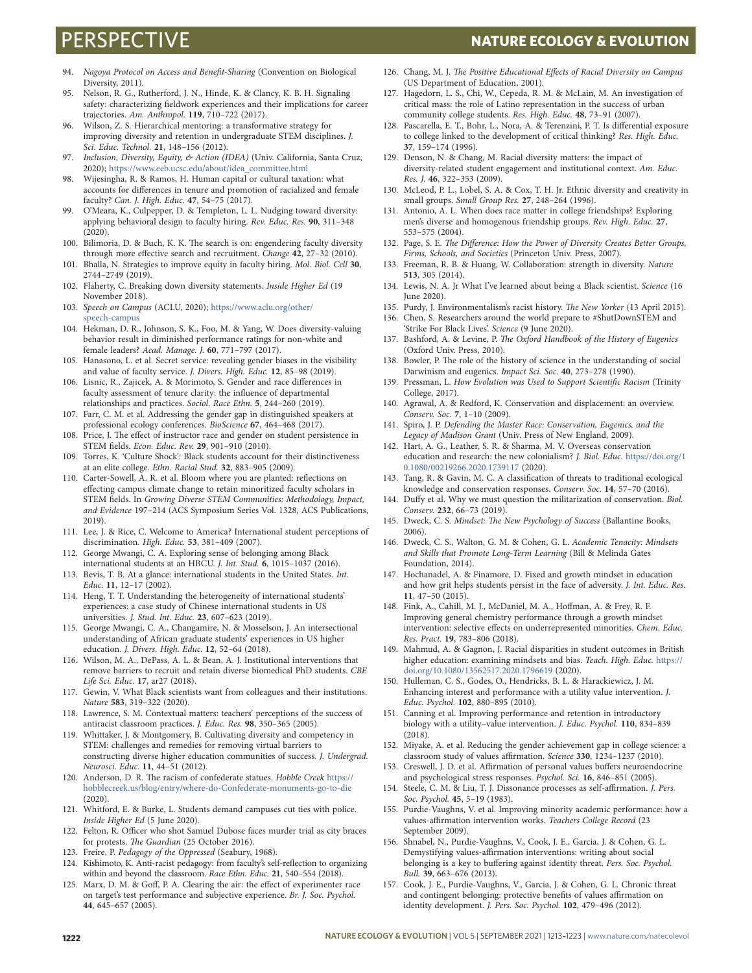- 94. *Nagoya Protocol on Access and Benefit-Sharing* (Convention on Biological Diversity, 2011).
- 95. Nelson, R. G., Rutherford, J. N., Hinde, K. & Clancy, K. B. H. Signaling safety: characterizing fieldwork experiences and their implications for career trajectories. *Am. Anthropol.* **119**, 710–722 (2017).
- 96. Wilson, Z. S. Hierarchical mentoring: a transformative strategy for improving diversity and retention in undergraduate STEM disciplines. *J. Sci. Educ. Technol.* **21**, 148–156 (2012).
- 97. *Inclusion, Diversity, Equity, & Action (IDEA)* (Univ. California, Santa Cruz, 2020); https://www.eeb.ucsc.edu/about/idea\_committee.html
- 98. Wijesingha, R. & Ramos, H. Human capital or cultural taxation: what accounts for differences in tenure and promotion of racialized and female faculty? *Can. J. High. Educ.* **47**, 54–75 (2017).
- O'Meara, K., Culpepper, D. & Templeton, L. L. Nudging toward diversity: applying behavioral design to faculty hiring. *Rev. Educ. Res.* **90**, 311–348 (2020).
- 100. Bilimoria, D. & Buch, K. K. The search is on: engendering faculty diversity through more effective search and recruitment. *Change* **42**, 27–32 (2010).
- 101. Bhalla, N. Strategies to improve equity in faculty hiring. *Mol. Biol. Cell* **30**, 2744–2749 (2019).
- 102. Flaherty, C. Breaking down diversity statements. *Inside Higher Ed* (19 November 2018).
- 103. *Speech on Campus* (ACLU, 2020); https://www.aclu.org/other/ speech-campus
- 104. Hekman, D. R., Johnson, S. K., Foo, M. & Yang, W. Does diversity-valuing behavior result in diminished performance ratings for non-white and female leaders? *Acad. Manage. J.* **60**, 771–797 (2017).
- 105. Hanasono, L. et al. Secret service: revealing gender biases in the visibility and value of faculty service. *J. Divers. High. Educ.* **12**, 85–98 (2019).
- 106. Lisnic, R., Zajicek, A. & Morimoto, S. Gender and race differences in faculty assessment of tenure clarity: the influence of departmental relationships and practices. *Sociol. Race Ethn.* **5**, 244–260 (2019).
- 107. Farr, C. M. et al. Addressing the gender gap in distinguished speakers at professional ecology conferences. *BioScience* **67**, 464–468 (2017).
- 108. Price, J. The effect of instructor race and gender on student persistence in STEM fields. *Econ. Educ. Rev.* **29**, 901–910 (2010).
- 109. Torres, K. 'Culture Shock': Black students account for their distinctiveness at an elite college. *Ethn. Racial Stud.* **32**, 883–905 (2009).
- 110. Carter-Sowell, A. R. et al. Bloom where you are planted: reflections on effecting campus climate change to retain minoritized faculty scholars in STEM fields. In *Growing Diverse STEM Communities: Methodology, Impact, and Evidence* 197–214 (ACS Symposium Series Vol. 1328, ACS Publications, 2019).
- 111. Lee, J. & Rice, C. Welcome to America? International student perceptions of discrimination. *High. Educ.* **53**, 381–409 (2007).
- 112. George Mwangi, C. A. Exploring sense of belonging among Black international students at an HBCU. *J. Int. Stud.* **6**, 1015–1037 (2016).
- 113. Bevis, T. B. At a glance: international students in the United States. *Int. Educ.* **11**, 12–17 (2002).
- 114. Heng, T. T. Understanding the heterogeneity of international students' experiences: a case study of Chinese international students in US universities. *J. Stud. Int. Educ.* **23**, 607–623 (2019).
- 115. George Mwangi, C. A., Changamire, N. & Mosselson, J. An intersectional understanding of African graduate students' experiences in US higher education. *J. Divers. High. Educ.* **12**, 52–64 (2018).
- 116. Wilson, M. A., DePass, A. L. & Bean, A. J. Institutional interventions that remove barriers to recruit and retain diverse biomedical PhD students. *CBE Life Sci. Educ.* **17**, ar27 (2018).
- 117. Gewin, V. What Black scientists want from colleagues and their institutions. *Nature* **583**, 319–322 (2020).
- 118. Lawrence, S. M. Contextual matters: teachers' perceptions of the success of antiracist classroom practices. *J. Educ. Res.* **98**, 350–365 (2005).
- 119. Whittaker, J. & Montgomery, B. Cultivating diversity and competency in STEM: challenges and remedies for removing virtual barriers to constructing diverse higher education communities of success. *J. Undergrad. Neurosci. Educ.* **11**, 44–51 (2012).
- 120. Anderson, D. R. The racism of confederate statues. *Hobble Creek* https:// hobblecreek.us/blog/entry/where-do-Confederate-monuments-go-to-die (2020).
- 121. Whitford, E. & Burke, L. Students demand campuses cut ties with police. *Inside Higher Ed* (5 June 2020).
- 122. Felton, R. Officer who shot Samuel Dubose faces murder trial as city braces for protests. *The Guardian* (25 October 2016).
- 123. Freire, P. *Pedagogy of the Oppressed* (Seabury, 1968).
- 124. Kishimoto, K. Anti-racist pedagogy: from faculty's self-reflection to organizing within and beyond the classroom. *Race Ethn. Educ.* **21**, 540–554 (2018).
- 125. Marx, D. M. & Goff, P. A. Clearing the air: the effect of experimenter race on target's test performance and subjective experience. *Br. J. Soc. Psychol.* **44**, 645–657 (2005).
- 126. Chang, M. J. *The Positive Educational Effects of Racial Diversity on Campus* (US Department of Education, 2001).
- 127. Hagedorn, L. S., Chi, W., Cepeda, R. M. & McLain, M. An investigation of critical mass: the role of Latino representation in the success of urban community college students. *Res. High. Educ.* **48**, 73–91 (2007).
- 128. Pascarella, E. T., Bohr, L., Nora, A. & Terenzini, P. T. Is differential exposure to college linked to the development of critical thinking? *Res. High. Educ.* **37**, 159–174 (1996).
- 129. Denson, N. & Chang, M. Racial diversity matters: the impact of diversity-related student engagement and institutional context. *Am. Educ. Res. J.* **46**, 322–353 (2009).
- 130. McLeod, P. L., Lobel, S. A. & Cox, T. H. Jr. Ethnic diversity and creativity in small groups. *Small Group Res.* **27**, 248–264 (1996).
- 131. Antonio, A. L. When does race matter in college friendships? Exploring men's diverse and homogenous friendship groups. *Rev. High. Educ.* **27**, 553–575 (2004).
- 132. Page, S. E. *The Difference: How the Power of Diversity Creates Better Groups, Firms, Schools, and Societies* (Princeton Univ. Press, 2007).
- 133. Freeman, R. B. & Huang, W. Collaboration: strength in diversity. *Nature* **513**, 305 (2014).
- 134. Lewis, N. A. Jr What I've learned about being a Black scientist. *Science* (16 June 2020).
- 135. Purdy, J. Environmentalism's racist history. *The New Yorker* (13 April 2015).
- 136. Chen, S. Researchers around the world prepare to #ShutDownSTEM and 'Strike For Black Lives'. *Science* (9 June 2020).
- 137. Bashford, A. & Levine, P. *The Oxford Handbook of the History of Eugenics* (Oxford Univ. Press, 2010).
- 138. Bowler, P. The role of the history of science in the understanding of social Darwinism and eugenics. *Impact Sci. Soc.* **40**, 273–278 (1990).
- 139. Pressman, L. *How Evolution was Used to Support Scientific Racism* (Trinity College, 2017).
- 140. Agrawal, A. & Redford, K. Conservation and displacement: an overview. *Conserv. Soc.* **7**, 1–10 (2009).
- 141. Spiro, J. P. *Defending the Master Race: Conservation, Eugenics, and the Legacy of Madison Grant* (Univ. Press of New England, 2009).
- 142. Hart, A. G., Leather, S. R. & Sharma, M. V. Overseas conservation education and research: the new colonialism? *J. Biol. Educ.* https://doi.org/1 0.1080/00219266.2020.1739117 (2020).
- 143. Tang, R. & Gavin, M. C. A classification of threats to traditional ecological knowledge and conservation responses. *Conserv. Soc.* **14**, 57–70 (2016).
- 144. Duffy et al. Why we must question the militarization of conservation. *Biol. Conserv.* **232**, 66–73 (2019).
- 145. Dweck, C. S. *Mindset: The New Psychology of Success* (Ballantine Books, 2006).
- 146. Dweck, C. S., Walton, G. M. & Cohen, G. L. *Academic Tenacity: Mindsets and Skills that Promote Long-Term Learning* (Bill & Melinda Gates Foundation, 2014).
- 147. Hochanadel, A. & Finamore, D. Fixed and growth mindset in education and how grit helps students persist in the face of adversity. *J. Int. Educ. Res.* **11**, 47–50 (2015).
- 148. Fink, A., Cahill, M. J., McDaniel, M. A., Hoffman, A. & Frey, R. F. Improving general chemistry performance through a growth mindset intervention: selective effects on underrepresented minorities. *Chem. Educ. Res. Pract.* **19**, 783–806 (2018).
- 149. Mahmud, A. & Gagnon, J. Racial disparities in student outcomes in British higher education: examining mindsets and bias. *Teach. High. Educ.* https:// doi.org/10.1080/13562517.2020.1796619 (2020).
- 150. Hulleman, C. S., Godes, O., Hendricks, B. L. & Harackiewicz, J. M. Enhancing interest and performance with a utility value intervention. *J. Educ. Psychol.* **102**, 880–895 (2010).
- 151. Canning et al. Improving performance and retention in introductory biology with a utility–value intervention. *J. Educ. Psychol.* **110**, 834–839 (2018).
- 152. Miyake, A. et al. Reducing the gender achievement gap in college science: a classroom study of values affirmation. *Science* **330**, 1234–1237 (2010).
- 153. Creswell, J. D. et al. Affirmation of personal values buffers neuroendocrine and psychological stress responses. *Psychol. Sci.* **16**, 846–851 (2005).
- 154. Steele, C. M. & Liu, T. J. Dissonance processes as self-affirmation. *J. Pers. Soc. Psychol.* **45**, 5–19 (1983).
- 155. Purdie-Vaughns, V. et al. Improving minority academic performance: how a values-affirmation intervention works. *Teachers College Record* (23 September 2009).
- 156. Shnabel, N., Purdie-Vaughns, V., Cook, J. E., Garcia, J. & Cohen, G. L. Demystifying values-affirmation interventions: writing about social belonging is a key to buffering against identity threat. *Pers. Soc. Psychol. Bull.* **39**, 663–676 (2013).
- 157. Cook, J. E., Purdie-Vaughns, V., Garcia, J. & Cohen, G. L. Chronic threat and contingent belonging: protective benefits of values affirmation on identity development. *J. Pers. Soc. Psychol.* **102**, 479–496 (2012).